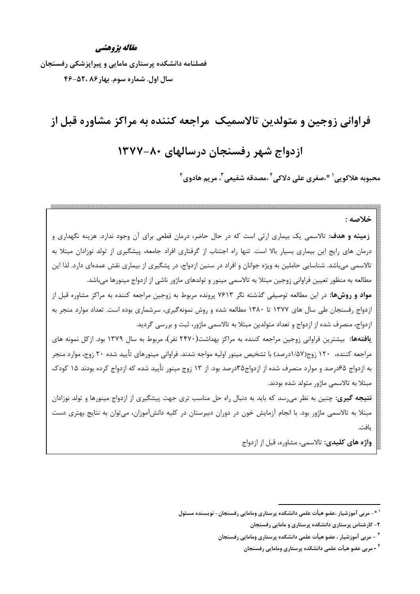#### مقاله يژوهشي

فصلنامه دانشکده پرستاری مامایی و پیراپزشکی رفسنجان سال اول. شماره سوم. بهار۸۶، ۵۲۰-۴۶

# فراوانی زوجین و متولدین تالاسمیک ًمراجعه کننده به مراکز مشاوره قبل از ازدواج شهر رفسنجان درسالهای ۸۰-۱۳۷۷ محبوبه هلاكويي َ \*،صغرى على دلاكي ّ ،مصدقه شفيعي ّ، مريم هادوي ً

خلاصه : **زمینه و هدف**: تالاسمی یک بیماری ارثی است که در حال حاضر، درمان قطعی برای آن وجود ندارد. هزینه نگهداری و درمان های رایج این بیماری بسیار بالا است. تنها راه اجتناب از گرفتاری افراد جامعه، پیشگیری از تولد نوزادان مبتلا به تالاسمی میباشد. شناسایی حاملین به ویژه جوانان و افراد در سنین ازدواج، در پشگیری از بیماری نقش عمدهای دارد. لذا این مطالعه به منظور تعیین فراوانی زوجین مبتلا به تالاسمی مینور و تولدهای ماژور ناشی از ازدواج مینورها می،باشد. **مواد و روشها**: در این مطالعه توصیفی گذشته نگر ۷۶۱۳ پرونده مربوط به زوجین مراجعه کننده به مراکز مشاوره قبل از ازدواج رفسنجان طی سال های ۱۳۷۷ تا ۱۳۸۰ مطالعه شده و روش نمونهگیری، سرشماری بوده است. تعداد موارد منجر به ازدواج، منصرف شده از ازدواج و تعداد متولدین مبتلا به تالاسمی ماژور، ثبت و بررسی گردید. یافتهها: بیشترین فراوانی زوجین مراجعه کننده به مراکز بهداشت(۲۴۷۰ نفر)، مربوط به سال ۱۳۷۹ بود. ازکل نمونه های مراجعه کننده، ۱۲۰ زوج(۱/۵۷درصد) با تشخیص مینور اولیه مواجه شدند. فراوانی مینورهای تأیید شده ۲۰ زوج، موارد منجر به ازدواج ۶۵درصد و موارد منصرف شده از ازدواج۳۵درصد بود. از ۱۳ زوج مینور تأیید شده که ازدواج کرده بودند ۱۵ کودک مبتلا به تالاسمی ماژور متولد شده بودند. **نتیجه گیری:** چنین به نظر می<sub>،</sub>رسد که باید به دنبال راه حل مناسب تری جهت پیشگیری از ازدواج مینورها و تولد نوزادان مبتلا به تالاسمی ماژور بود. با انجام آزمایش خون در دوران دبیرستان در کلیه دانشآموزان، می توان به نتایج بهتری دست يافت. واژه های کلیدی: تالاسمی، مشاوره، قبل از ازدواج

<sup>&</sup>lt;sup>۱ \*</sup>- مربی آموزشیار ،عضو هیأت علمی دانشکده پرستاری ومامایی رفسنجان- نویسنده مسئول

۲- کارشناس پرستاری دانشکده پرستاری و مامایی رفسنجان

<sup>&</sup>lt;sup>۳</sup> – مربی آموزشیار ، عضو هیأت علمی دانشکده پرستاری ومامایی رفسنجان

<sup>&</sup>lt;sup>۲</sup> - مربی عضو هیأت علمی دانشکده پرستاری ومامایی رفسنجان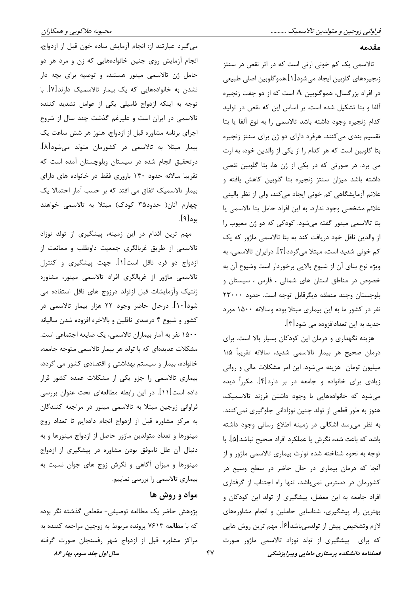#### مقدمه

تالاسمی یک کم خونی ارثی است که در اثر نقص در سنتز زنجيرههاي گلوبين ايجاد ميشود[١].هموگلوبين اصلي طبيعي در افراد بزرگسال، هموگلوبین A است که از دو جفت زنجیره آلفا و بتا تشکیل شده است. بر اساس این که نقص در تولید كدام زنجيره وجود داشته باشد تالاسمي را به نوع آلفا يا بتا تقسیم بندی میکنند. هرفرد دارای دو ژن برای سنتز زنجیره بتا گلوبین است که هر کدام را از یکی از والدین خود، به ارث می برد. در صورتی که در یکی از ژن ها، بتا گلوبین نقصی داشته باشد میزان سنتز زنجیره بتا گلوبین کاهش یافته و علائم آزمایشگاهی کم خونی ایجاد میکند، ولی از نظر بالینی علائم مشخصی وجود ندارد. به این افراد حامل بتا تالاسمی یا بتا تالاسمی مینور گفته میشود. کودکی که دو ژن معیوب را از والدین ناقل خود دریافت کند به بتا تالاسمی ماژور که یک کم خونی شدید است، مبتلا می گردد[۲]. درایران تالاسمی، به ویژه نوع بتای آن از شیوع بالایی برخوردار است وشیوع آن به خصوص در مناطق استان های شمالی ، فارس ، سیستان و بلوچستان وچند منطقه دیگرقابل توجه است. حدود ۲۳۰۰۰ نفر در کشور ما به این بیماری مبتلا بوده وسالانه ۱۵۰۰ مورد جديد به اين تعدادافزوده مي شود[۳].

هزینه نگهداری و درمان این کودکان بسیار بالا است. برای درمان صحيح هر بيمار تالاسمي شديد، سالانه تقريباً ١/٥ میلیون تومان هزینه میشود. این امر مشکلات مالی و روانی زیادی برای خانواده و جامعه در بر دارد[۴]. مکرراً دیده می شود که خانوادههایی با وجود داشتن فرزند تالاسمیک، هنوز به طور قطعی از تولد چنین نوزادانی جلوگیری نمیکنند. به نظر می رسد اشکالی در زمینه اطلاع رسانی وجود داشته باشد که باعث شده نگرش یا عملکرد افراد صحیح نباشد[۵]. با توجه به نحوه شناخته شده توارث بيماري تالاسمي ماژور و از آنجا که درمان بیماری در حال حاضر در سطح وسیع در کشورمان در دسترس نمی باشد، تنها راه اجتناب از گرفتاری افراد جامعه به این معضل، پیشگیری از تولد این کودکان و بهترین راه پیشگیری، شناسایی حاملین و انجام مشاورههای لازم وتشخيص پيش از تولدميباشد[۶]. مهم ترين روش هايي که برای پیشگیری از تولد نوزاد تالاسمی ماژور صورت

می گیرد عبارتند از: انجام آزمایش ساده خون قبل از ازدواج، انجام آزمایش روی جنین خانوادههایی که زن و مرد هر دو حامل ژن تالاسمی مینور هستند، و توصیه برای بچه دار نشدن به خانوادههایی که یک بیمار تالاسمیک دارند[۷]. با توجه به اینکه ازدواج فامیلی یکی از عوامل تشدید کننده تالاسمی در ایران است و علیرغم گذشت چند سال از شروع اجرای برنامه مشاوره قبل از ازدواج، هنوز هر شش ساعت یک بیمار مبتلا به تالاسمی در کشورمان متولد میشود[۸]. درتحقیق انجام شده در سیستان وبلوچستان آمده است که تقریبا سالانه حدود ۱۴۰ باروری فقط در خانواده های دارای بیمار تالاسمیک اتفاق می افتد که بر حسب آمار احتمالا یک چهارم آنان( حدود۳۵ کودک) مبتلا به تالاسمی خواهند بود[۹].

مهم ترین اقدام در این زمینه، پیشگیری از تولد نوزاد تالاسمی از طریق غربالگری جمعیت داوطلب و ممانعت از ازدواج دو فرد ناقل است[۱]. جهت پیشگیری و کنترل تالاسمی ماژور از غربالگری افراد تالاسمی مینور، مشاوره ژنتیک وآزمایشات قبل ازتولد درزوج های ناقل استفاده می شود[۱۰]. درحال حاضر وجود ۲۲ هزار بیمار تالاسمی در کشور و شیوع ۴ درصدی ناقلین و بالاخره افزوده شدن سالیانه ۱۵۰۰ نفر به آمار بیماران تالاسمی، یک ضایعه اجتماعی است. مشکلات عدیدهای که با تولد هر بیمار تالاسمی متوجه جامعه، خانواده، بیمار و سیستم بهداشتی و اقتصادی کشور می گردد، بیماری تالاسمی را جزو یکی از مشکلات عمده کشور قرار داده است[۱۱]. در این رابطه مطالعهای تحت عنوان بررسی فراوانی زوجین مبتلا به تالاسمی مینور در مراجعه کنندگان به مرکز مشاوره قبل از ازدواج انجام دادهایم تا تعداد زوج مینورها و تعداد متولدین ماژور حاصل از ازدواج مینورها و به دنبال آن علل ناموفق بودن مشاوره در پیشگیری از ازدواج مینورها و میزان آگاهی و نگرش زوج های جوان نسبت به بیماری تالاسمی را بررسی نماییم.

## مواد و روش ها

پژوهش حاضر یک مطالعه توصیفی- مقطعی گذشته نگر بوده که با مطالعه ۷۶۱۳ پرونده مربوط به زوجین مراجعه کننده به مراکز مشاوره قبل از ازدواج شهر رفسنجان صورت گرفته

سال اول جلد سوم، بهار ۸۶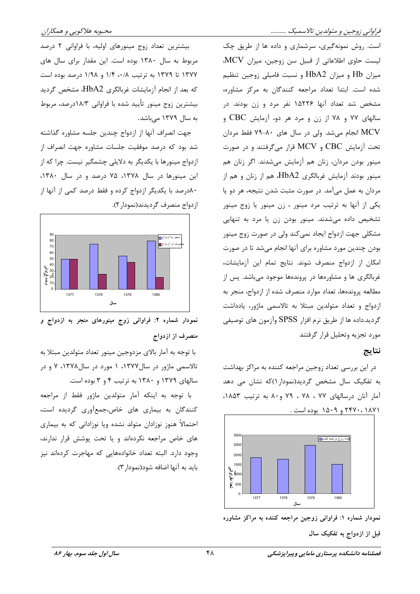است. روش نمونهگیری، سرشماری و داده ها از طریق چک ليست حاوى اطلاعاتى از قبيل سن زوجين، ميزان MCV. میزان Hb و میزان HbA2 و نسبت فامیلی زوجین تنظیم شده است. ابتدا تعداد مراجعه كنندگان به مركز مشاوره، مشخص شد تعداد آنها ۱۵۲۲۶ نفر مرد و زن بودند. در سالهای ۷۷ و ۷۸ از زن و مرد هر دو، آزمایش CBC و MCV انجام میشد. ولی در سال های ۸۰-۷۹ فقط مردان تحت آزمایش CBC و MCV قرار میگرفتند و در صورت مینور بودن مردان، زنان هم آزمایش میشدند. اگر زنان هم مینور بودند آزمایش غربالگری HbA2، هم از زنان و هم از مردان به عمل میآمد. در صورت مثبت شدن نتیجه، هر دو یا یکی از آنها به ترتیب مرد مینور ، زن مینور یا زوج مینور تشخیص داده می شدند. مینور بودن زن یا مرد به تنهایی مشکلی جهت ازدواج ایجاد نمیکند ولی در صورت زوج مینور بودن چندین مورد مشاوره برای آنها انجام میشد تا در صورت امكان از ازدواج منصرف شوند. نتايج تمام اين آزمايشات، غربالگری ها و مشاورهها در پروندهها موجود میباشد. پس از مطالعه پروندهها، تعداد موارد منصرف شده از ازدواج، منجر به ازدواج و تعداد متولدین مبتلا به تالاسمی ماژور، یادداشت گردید.داده ها از طریق نرم افزار SPSS وآزمون های توصیفی مورد تجزيه وتحليل قرار گرفتند

### نتايج

در این بررسی تعداد زوجین مراجعه کننده به مراکز بهداشت به تفکیک سال مشخص گردید(نمودار ۱)که نشان می دهد آمار آنان درسالهای ۷۷ ، ۷۸ ، ۷۹ و۸۰ به ترتیب ۱۸۵۳.



نمودار شماره ۱: فراوانی زوجین مراجعه کننده به مراکز مشاوره

قبل از ازدواج به تفکیک سال

بیشترین تعداد زوج مینورهای اولیه، با فراوانی ۲ درصد مربوط به سال ۱۳۸۰ بوده است. این مقدار برای سال های ۱۳۷۷ تا ۱۳۷۹ به ترتیب ۰/۸، ۱/۴ و ۱/۹۸ درصد بوده است که بعد از انجام آزمایشات غربالگری HbA2، مشخص گردید بیشترین زوج مینور تأیید شده با فراوانی ۱۸/۳درصد، مربوط به سال ۱۳۷۹ میباشد.

جهت انصراف آنها از ازدواج چندین جلسه مشاوره گذاشته شد بود که درصد موفقیت جلسات مشاوره جهت انصراف از ازدواج مینورها با یکدیگر به دلایلی چشمگیر نیست. چرا که از این مینورها در سال ۱۳۷۸، ۷۵ درصد و در سال ۱۳۸۰، ۸۰درصد با یکدیگر ازدواج کرده و فقط درصد کمی از آنها از ازدواج منصرف گرديدند(نمودار ٢).



نمودار شماره ۲: فراوانی زوج مینورهای منجر به ازدواج و منصرف از ازدواج

با توجه به آمار بالای مزدوجین مینور تعداد متولدین مبتلا به تالاسمی ماژور در سال۱۳۷۷، ۱ مورد در سال۱۳۷۸، ۷ و در سالهای ۱۳۷۹ و ۱۳۸۰ به ترتیب ۴ و ۳ بوده است.

با توجه به اينكه آمار متولدين ماژور فقط از مراجعه کنندگان به بیماری های خاص،جمعآوری گردیده است، احتمالاً هنوز نوزادان متولد نشده ويا نوزاداني كه به بيماري های خاص مراجعه نکردهاند و یا تحت پوشش قرار ندارند، وجود دارد. البته تعداد خانوادههایی که مهاجرت کردهاند نیز بايد به آنها اضافه شود(نمودار ٣).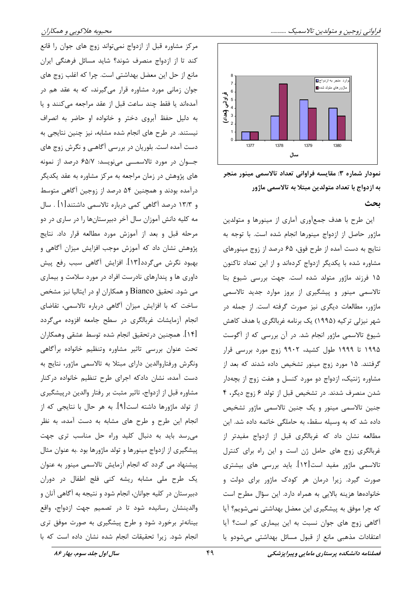



نمودار شماره ۳: مقایسه فراوانی تعداد تالاسمی مینور منجر به ازدواج با تعداد متولدين مبتلا به تالاسمي ماژور

#### ىحث

این طرح با هدف جمعآوری آماری از مینورها و متولدین ماژور حاصل از ازدواج مینورها انجام شده است. با توجه به نتايج به دست آمده از طرح فوق، ۶۵ درصد از زوج مينورهاي مشاوره شده با یکدیگر ازدواج کردهاند و از این تعداد تاکنون ۱۵ فرزند ماژور متولد شده است. جهت بررسی شیوع بتا تالاسمی مینور و پیشگیری از بروز موارد جدید تالاسمی ماژور، مطالعات دیگری نیز صورت گرفته است. از جمله در شهر نیزلی ترکیه (۱۹۹۵) یک برنامه غربالگری با هدف کاهش شیوع تالاسمی ماژور انجام شد. در آن بررسی که از آگوست ۱۹۹۵ تا ۱۹۹۹ طول کشید، ۹۹۰۲ زوج مورد بررسی قرار گرفتند. ۱۵ مورد زوج مینور تشخیص داده شدند که بعد از مشاوره ژنتیک، ازدواج دو مورد کنسل و هفت زوج از بچهدار شدن منصرف شدند. در تشخیص قبل از تولد ۶ زوج دیگر، ۴ جنین تالاسمی مینور و یک جنین تالاسمی ماژور تشخیص داده شد که به وسیله سقط، به حاملگی خاتمه داده شد. این مطالعه نشان داد که غربالگری قبل از ازدواج مفیدتر از غربالگری زوج های حامل ژن است و این راه برای کنترل تالاسمی ماژور مفید است[۱۲]. باید بررسی های بیشتری صورت گیرد. زیرا درمان هر کودک ماژور برای دولت و خانوادهها هزینه بالایی به همراه دارد. این سؤال مطرح است که چرا موفق به پیشگیری این معضل بهداشتی نمیشویم؟ آیا آگاهی زوج های جوان نسبت به این بیماری کم است؟ آیا اعتقادات مذهبی مانع از قبول مسائل بهداشتی میشودو یا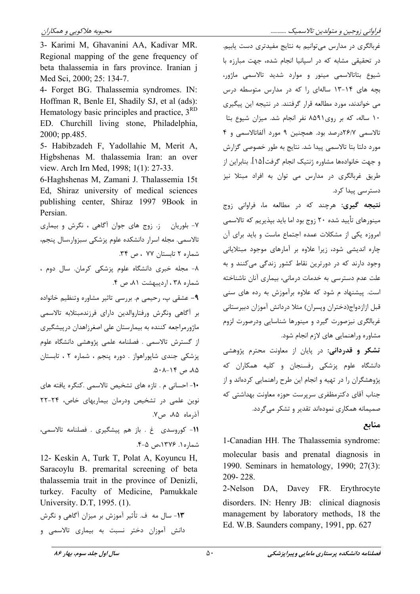3- Karimi M, Ghavanini AA, Kadivar MR. Regional mapping of the gene frequency of beta thalassemia in fars province. Iranian i Med Sci, 2000; 25: 134-7.

4- Forget BG. Thalassemia syndromes. IN: Hoffman R, Benle EI, Shadily SJ, et al (ads): Hematology basic principles and practice,  $3<sup>RD</sup>$ ED. Churchill living stone, Philadelphia, 2000; pp.485.

5- Habibzadeh F, Yadollahie M, Merit A, Higbshenas M. thalassemia Iran: an over view. Arch Irn Med, 1998; 1(1): 27-33.

6-Haghshenas M, Zamani J. Thalassemia 15t Ed, Shiraz university of medical sciences publishing center, Shiraz 1997 9Book in Persian.

۷- بلوریان دز. زوج های جوان آگاهی ، نگرش و بیماری تالاسمی. مجله اسرار دانشکده علوم پزشکی سبزوار،سال پنجم، شماره ۲ تابستان ۷۷ ، ص ۳۴. ٨- مجله خبرى دانشگاه علوم پزشكى كرمان. سال دوم ، شماره ۳۸، اردیبهشت ۸۱، ص ۴. ۹- عشقی پ، رحیمی م. بررسی تاثیر مشاوره وتنظیم خانواده بر آگاهی ونگرش ورفتاروالدین دارای فرزندمبتلابه تالاسمی ماژورمراجعه کننده به بیمارستان علی اصغرزاهدان درپیشگیری از گسترش تالاسمی . فصلنامه علمی پژوهشی دانشگاه علوم پزشکی جندی شاپوراهواز . دوره پنجم ، شماره ۲ ، تابستان  $\Delta \cdot \Delta - 15$ ,  $\Delta \Delta$ •۱- احسانی م . تازه های تشخیص تالاسمی .کنگره یافته های نوین علمی در تشخیص ودرمان بیماریهای خاص، ۲۴-۲۲ آذرماه ۸۵، ص۷. 11- كوروسدى غ . باز هم پيشگيرى . فصلنامه تالاسمى، شماره ۱. ۱۳۷۶،ص ۴-۴.

12- Keskin A, Turk T, Polat A, Koyuncu H, Saracovlu B, premarital screening of beta thalassemia trait in the province of Denizli, turkey. Faculty of Medicine, Pamukkale University. D.T, 1995. (1).

**۱۳**- سال مه ف. تأثیر آموزش بر میزان آگاهی و نگرش دانش آموزان دختر نسبت به بیماری تالاسمی و

غربالگری در مدارس می توانیم به نتایج مفیدتری دست پابیم. در تحقیقی مشابه که در اسیانیا انجام شده، جهت مبارزه با شیوع بتاتالاسمی مینور و موارد شدید تالاسمی ماژور، بچه های ۱۴-۱۳ سالهای را که در مدارس متوسطه درس می خواندند، مورد مطالعه قرار گرفتند. در نتیجه این پیگیری ١٠ ساله، كه بر روى ٨٥٩١ نفر انجام شد. ميزان شيوع بتا تالاسمی ۲۶/۷درصد بود. همچنین ۹ مورد آلفاتالاسمی و ۴ مورد دلتا بتا تالاسمي پيدا شد. نتايج به طور خصوصي گزارش و جهت خانوادهها مشاوره ژنتیک انجام گرفت[۱۵]. بنابراین از طریق غربالگری در مدارس می توان به افراد مبتلا نیز دسترسی پیدا کرد.

**نتيجه گيري:** هرچند كه د<sub>ر</sub> مطالعه ما، فراواني زوج مینورهای تأیید شده ۲۰ زوج بود اما باید بیذیریم که تالاسمی امروزه یکی از مشکلات عمده اجتماع ماست و باید برای آن چاره اندیشی شود، زیرا علاوه بر آمارهای موجود مبتلایانی وجود دارند که در دورترین نقاط کشور زندگی میکنند و به علت عدم دسترسی به خدمات درمانی، بیماری آنان ناشناخته است. پیشنهاد م شود که علاوه برآموزش به رده های سنی قبل ازازدواج(دختران وپسران) مثلا دردانش آموزان دبیرستانی غربالگری نیزصورت گیرد و مینورها شناسایی ودرصورت لزوم مشاوره وراهنمایی های لازم انجام شود.

تشکر و قدردانی: در پایان از معاونت محترم پژوهشی دانشگاه علوم پزشکی رفسنجان و کلیه همکاران که پژوهشگران را در تهیه و انجام این طرح راهنمایی کردهاند و از جناب آقای دکترمظفری سرپرست حوزه معاونت بهداشتی که صمیمانه همکاری نمودهاند تقدیر و تشکر می گردد.

منابع

1-Canadian HH. The Thalassemia syndrome: molecular basis and prenatal diagnosis in 1990. Seminars in hematology, 1990; 27(3): 209-228.

2-Nelson DA, Davey FR. Erythrocyte disorders. IN: Henry JB: clinical diagnosis management by laboratory methods, 18 the Ed. W.B. Saunders company, 1991, pp. 627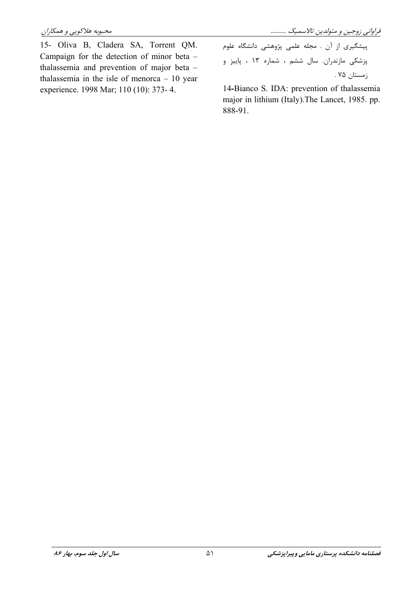فراوانی زوجین و متولدین تالاسمیک ...........

15- Oliva B, Cladera SA, Torrent QM. Campaign for the detection of minor beta thalassemia and prevention of major beta thalassemia in the isle of menorca  $-10$  year experience. 1998 Mar; 110 (10): 373-4.

پیشگیری از آن . مجله علمی پژوهشی دانشگاه علوم پزشکی مازندران. سال ششم ، شماره ۱۳ ، پاییز و زمستان ۷۵ .

14-Bianco S. IDA: prevention of thalassemia major in lithium (Italy). The Lancet, 1985. pp. 888-91.